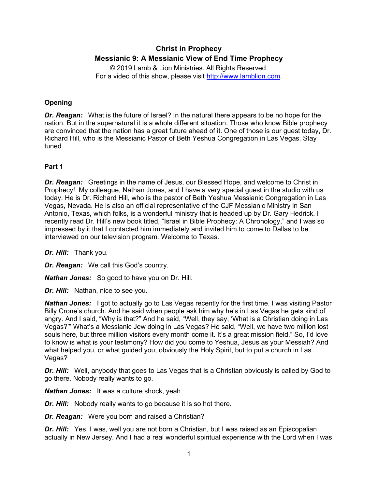# **Christ in Prophecy Messianic 9: A Messianic View of End Time Prophecy**

© 2019 Lamb & Lion Ministries. All Rights Reserved. For a video of this show, please visit [http://www.lamblion.com.](http://www.lamblion.com/)

# **Opening**

*Dr. Reagan:* What is the future of Israel? In the natural there appears to be no hope for the nation. But in the supernatural it is a whole different situation. Those who know Bible prophecy are convinced that the nation has a great future ahead of it. One of those is our guest today, Dr. Richard Hill, who is the Messianic Pastor of Beth Yeshua Congregation in Las Vegas. Stay tuned.

## **Part 1**

*Dr. Reagan:* Greetings in the name of Jesus, our Blessed Hope, and welcome to Christ in Prophecy! My colleague, Nathan Jones, and I have a very special guest in the studio with us today. He is Dr. Richard Hill, who is the pastor of Beth Yeshua Messianic Congregation in Las Vegas, Nevada. He is also an official representative of the CJF Messianic Ministry in San Antonio, Texas, which folks, is a wonderful ministry that is headed up by Dr. Gary Hedrick. I recently read Dr. Hill's new book titled, "Israel in Bible Prophecy: A Chronology," and I was so impressed by it that I contacted him immediately and invited him to come to Dallas to be interviewed on our television program. Welcome to Texas.

*Dr. Hill:* Thank you.

*Dr. Reagan:* We call this God's country.

*Nathan Jones:* So good to have you on Dr. Hill.

*Dr. Hill:* Nathan, nice to see you.

*Nathan Jones:* I got to actually go to Las Vegas recently for the first time. I was visiting Pastor Billy Crone's church. And he said when people ask him why he's in Las Vegas he gets kind of angry. And I said, "Why is that?" And he said, "Well, they say, 'What is a Christian doing in Las Vegas?'" What's a Messianic Jew doing in Las Vegas? He said, "Well, we have two million lost souls here, but three million visitors every month come it. It's a great mission field." So, I'd love to know is what is your testimony? How did you come to Yeshua, Jesus as your Messiah? And what helped you, or what guided you, obviously the Holy Spirit, but to put a church in Las Vegas?

*Dr. Hill:* Well, anybody that goes to Las Vegas that is a Christian obviously is called by God to go there. Nobody really wants to go.

*Nathan Jones:* It was a culture shock, yeah.

*Dr. Hill:* Nobody really wants to go because it is so hot there.

*Dr. Reagan:* Were you born and raised a Christian?

*Dr. Hill:* Yes, I was, well you are not born a Christian, but I was raised as an Episcopalian actually in New Jersey. And I had a real wonderful spiritual experience with the Lord when I was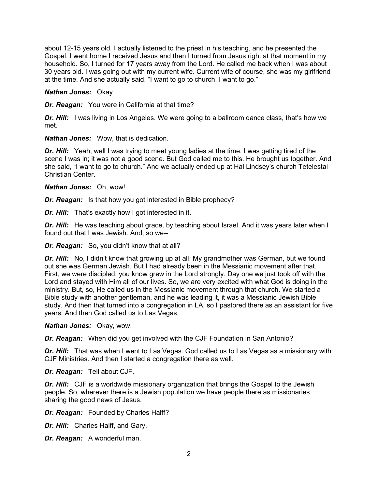about 12-15 years old. I actually listened to the priest in his teaching, and he presented the Gospel. I went home I received Jesus and then I turned from Jesus right at that moment in my household. So, I turned for 17 years away from the Lord. He called me back when I was about 30 years old. I was going out with my current wife. Current wife of course, she was my girlfriend at the time. And she actually said, "I want to go to church. I want to go."

*Nathan Jones:* Okay.

*Dr. Reagan:* You were in California at that time?

**Dr. Hill:** I was living in Los Angeles. We were going to a ballroom dance class, that's how we met.

*Nathan Jones:* Wow, that is dedication.

*Dr. Hill:* Yeah, well I was trying to meet young ladies at the time. I was getting tired of the scene I was in; it was not a good scene. But God called me to this. He brought us together. And she said, "I want to go to church." And we actually ended up at Hal Lindsey's church Tetelestai Christian Center.

*Nathan Jones:* Oh, wow!

*Dr. Reagan:* Is that how you got interested in Bible prophecy?

*Dr. Hill:* That's exactly how I got interested in it.

**Dr. Hill:** He was teaching about grace, by teaching about Israel. And it was years later when I found out that I was Jewish. And, so we--

*Dr. Reagan:* So, you didn't know that at all?

*Dr. Hill:* No, I didn't know that growing up at all. My grandmother was German, but we found out she was German Jewish. But I had already been in the Messianic movement after that. First, we were discipled, you know grew in the Lord strongly. Day one we just took off with the Lord and stayed with Him all of our lives. So, we are very excited with what God is doing in the ministry. But, so, He called us in the Messianic movement through that church. We started a Bible study with another gentleman, and he was leading it, it was a Messianic Jewish Bible study. And then that turned into a congregation in LA, so I pastored there as an assistant for five years. And then God called us to Las Vegas.

*Nathan Jones:* Okay, wow.

*Dr. Reagan:* When did you get involved with the CJF Foundation in San Antonio?

*Dr. Hill:* That was when I went to Las Vegas. God called us to Las Vegas as a missionary with CJF Ministries. And then I started a congregation there as well.

*Dr. Reagan:* Tell about CJF.

*Dr. Hill:* CJF is a worldwide missionary organization that brings the Gospel to the Jewish people. So, wherever there is a Jewish population we have people there as missionaries sharing the good news of Jesus.

*Dr. Reagan:* Founded by Charles Halff?

*Dr. Hill:* Charles Halff, and Gary.

*Dr. Reagan:* A wonderful man.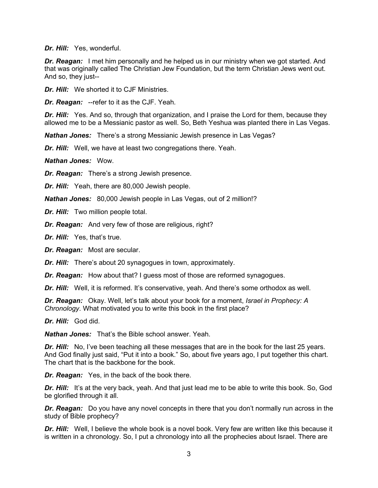*Dr. Hill:* Yes, wonderful.

**Dr. Reagan:** I met him personally and he helped us in our ministry when we got started. And that was originally called The Christian Jew Foundation, but the term Christian Jews went out. And so, they just--

*Dr. Hill:* We shorted it to CJF Ministries.

*Dr. Reagan:* --refer to it as the CJF. Yeah.

*Dr. Hill:* Yes. And so, through that organization, and I praise the Lord for them, because they allowed me to be a Messianic pastor as well. So, Beth Yeshua was planted there in Las Vegas.

*Nathan Jones:* There's a strong Messianic Jewish presence in Las Vegas?

*Dr. Hill:* Well, we have at least two congregations there. Yeah.

*Nathan Jones:* Wow.

*Dr. Reagan:* There's a strong Jewish presence.

*Dr. Hill:* Yeah, there are 80,000 Jewish people.

*Nathan Jones:* 80,000 Jewish people in Las Vegas, out of 2 million!?

*Dr. Hill:* Two million people total.

*Dr. Reagan:* And very few of those are religious, right?

*Dr. Hill:* Yes, that's true.

*Dr. Reagan:* Most are secular.

*Dr. Hill:* There's about 20 synagogues in town, approximately.

*Dr. Reagan:* How about that? I guess most of those are reformed synagogues.

*Dr. Hill:* Well, it is reformed. It's conservative, yeah. And there's some orthodox as well.

*Dr. Reagan:* Okay. Well, let's talk about your book for a moment, *Israel in Prophecy: A Chronology*. What motivated you to write this book in the first place?

*Dr. Hill:* God did.

*Nathan Jones:* That's the Bible school answer. Yeah.

*Dr. Hill:* No, I've been teaching all these messages that are in the book for the last 25 years. And God finally just said, "Put it into a book." So, about five years ago, I put together this chart. The chart that is the backbone for the book.

*Dr. Reagan:* Yes, in the back of the book there.

**Dr. Hill:** It's at the very back, yeah. And that just lead me to be able to write this book. So, God be glorified through it all.

*Dr. Reagan:* Do you have any novel concepts in there that you don't normally run across in the study of Bible prophecy?

*Dr. Hill:* Well, I believe the whole book is a novel book. Very few are written like this because it is written in a chronology. So, I put a chronology into all the prophecies about Israel. There are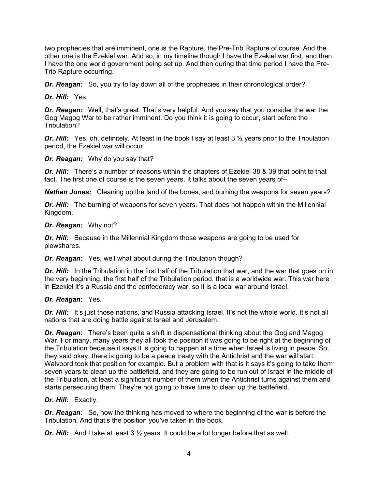two prophecies that are imminent, one is the Rapture, the Pre-Trib Rapture of course. And the other one is the Ezekiel war. And so, in my timeline though I have the Ezekiel war first, and then I have the one world government being set up. And then during that time period I have the Pre-Trib Rapture occurring.

*Dr. Reagan:* So, you try to lay down all of the prophecies in their chronological order?

*Dr. Hill:* Yes.

*Dr. Reagan:* Well, that's great. That's very helpful. And you say that you consider the war the Gog Magog War to be rather imminent. Do you think it is going to occur, start before the Tribulation?

*Dr. Hill:* Yes, oh, definitely. At least in the book I say at least 3 ½ years prior to the Tribulation period, the Ezekiel war will occur.

*Dr. Reagan:* Why do you say that?

*Dr. Hill:* There's a number of reasons within the chapters of Ezekiel 38 & 39 that point to that fact. The first one of course is the seven years. It talks about the seven years of--

*Nathan Jones:* Cleaning up the land of the bones, and burning the weapons for seven years?

*Dr. Hill:* The burning of weapons for seven years. That does not happen within the Millennial Kingdom.

#### *Dr. Reagan:* Why not?

*Dr. Hill:* Because in the Millennial Kingdom those weapons are going to be used for plowshares.

*Dr. Reagan:* Yes, well what about during the Tribulation though?

**Dr. Hill:** In the Tribulation in the first half of the Tribulation that war, and the war that goes on in the very beginning, the first half of the Tribulation period, that is a worldwide war. This war here in Ezekiel it's a Russia and the confederacy war, so it is a local war around Israel.

## *Dr. Reagan:* Yes.

**Dr. Hill:** It's just those nations, and Russia attacking Israel. It's not the whole world. It's not all nations that are doing battle against Israel and Jerusalem.

*Dr. Reagan:* There's been quite a shift in dispensational thinking about the Gog and Magog War. For many, many years they all took the position it was going to be right at the beginning of the Tribulation because it says it is going to happen at a time when Israel is living in peace. So, they said okay, there is going to be a peace treaty with the Antichrist and the war will start. Walvoord took that position for example. But a problem with that is it says it's going to take them seven years to clean up the battlefield, and they are going to be run out of Israel in the middle of the Tribulation, at least a significant number of them when the Antichrist turns against them and starts persecuting them. They're not going to have time to clean up the battlefield.

## *Dr. Hill:* Exactly.

*Dr. Reagan:* So, now the thinking has moved to where the beginning of the war is before the Tribulation. And that's the position you've taken in the book.

**Dr. Hill:** And I take at least 3 <sup>1</sup>/<sub>2</sub> years. It could be a lot longer before that as well.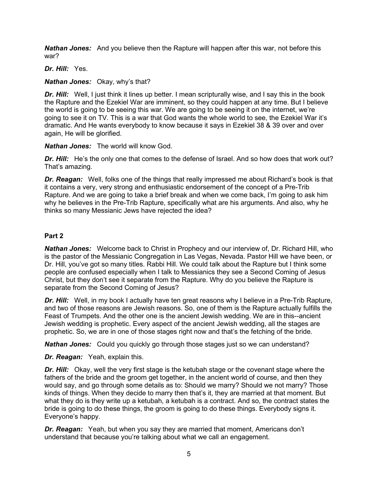*Nathan Jones:* And you believe then the Rapture will happen after this war, not before this war?

## *Dr. Hill:* Yes.

### *Nathan Jones:* Okay, why's that?

*Dr. Hill:* Well, I just think it lines up better. I mean scripturally wise, and I say this in the book the Rapture and the Ezekiel War are imminent, so they could happen at any time. But I believe the world is going to be seeing this war. We are going to be seeing it on the internet, we're going to see it on TV. This is a war that God wants the whole world to see, the Ezekiel War it's dramatic. And He wants everybody to know because it says in Ezekiel 38 & 39 over and over again, He will be glorified.

### *Nathan Jones:* The world will know God.

**Dr. Hill:** He's the only one that comes to the defense of Israel. And so how does that work out? That's amazing.

*Dr. Reagan:* Well, folks one of the things that really impressed me about Richard's book is that it contains a very, very strong and enthusiastic endorsement of the concept of a Pre-Trib Rapture. And we are going to take a brief break and when we come back, I'm going to ask him why he believes in the Pre-Trib Rapture, specifically what are his arguments. And also, why he thinks so many Messianic Jews have rejected the idea?

## **Part 2**

*Nathan Jones:* Welcome back to Christ in Prophecy and our interview of, Dr. Richard Hill, who is the pastor of the Messianic Congregation in Las Vegas, Nevada. Pastor Hill we have been, or Dr. Hill, you've got so many titles. Rabbi Hill. We could talk about the Rapture but I think some people are confused especially when I talk to Messianics they see a Second Coming of Jesus Christ, but they don't see it separate from the Rapture. Why do you believe the Rapture is separate from the Second Coming of Jesus?

*Dr. Hill:* Well, in my book I actually have ten great reasons why I believe in a Pre-Trib Rapture, and two of those reasons are Jewish reasons. So, one of them is the Rapture actually fulfills the Feast of Trumpets. And the other one is the ancient Jewish wedding. We are in this--ancient Jewish wedding is prophetic. Every aspect of the ancient Jewish wedding, all the stages are prophetic. So, we are in one of those stages right now and that's the fetching of the bride.

*Nathan Jones:* Could you quickly go through those stages just so we can understand?

*Dr. Reagan:* Yeah, explain this.

*Dr. Hill:* Okay, well the very first stage is the ketubah stage or the covenant stage where the fathers of the bride and the groom get together, in the ancient world of course, and then they would say, and go through some details as to: Should we marry? Should we not marry? Those kinds of things. When they decide to marry then that's it, they are married at that moment. But what they do is they write up a ketubah, a ketubah is a contract. And so, the contract states the bride is going to do these things, the groom is going to do these things. Everybody signs it. Everyone's happy.

*Dr. Reagan:* Yeah, but when you say they are married that moment, Americans don't understand that because you're talking about what we call an engagement.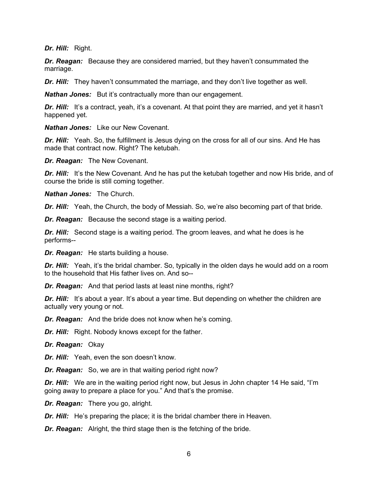*Dr. Hill:* Right.

*Dr. Reagan:* Because they are considered married, but they haven't consummated the marriage.

*Dr. Hill:* They haven't consummated the marriage, and they don't live together as well.

*Nathan Jones:* But it's contractually more than our engagement.

**Dr. Hill:** It's a contract, yeah, it's a covenant. At that point they are married, and yet it hasn't happened yet.

*Nathan Jones:* Like our New Covenant.

**Dr. Hill:** Yeah. So, the fulfillment is Jesus dying on the cross for all of our sins. And He has made that contract now. Right? The ketubah.

*Dr. Reagan:* The New Covenant.

**Dr. Hill:** It's the New Covenant. And he has put the ketubah together and now His bride, and of course the bride is still coming together.

*Nathan Jones:* The Church.

*Dr. Hill:* Yeah, the Church, the body of Messiah. So, we're also becoming part of that bride.

*Dr. Reagan:* Because the second stage is a waiting period.

*Dr. Hill:* Second stage is a waiting period. The groom leaves, and what he does is he performs--

*Dr. Reagan:* He starts building a house.

**Dr. Hill:** Yeah, it's the bridal chamber. So, typically in the olden days he would add on a room to the household that His father lives on. And so--

*Dr. Reagan:* And that period lasts at least nine months, right?

**Dr. Hill:** It's about a year. It's about a year time. But depending on whether the children are actually very young or not.

*Dr. Reagan:* And the bride does not know when he's coming.

*Dr. Hill:* Right. Nobody knows except for the father.

*Dr. Reagan:* Okay

*Dr. Hill:* Yeah, even the son doesn't know.

*Dr. Reagan:* So, we are in that waiting period right now?

**Dr. Hill:** We are in the waiting period right now, but Jesus in John chapter 14 He said, "I'm going away to prepare a place for you." And that's the promise.

*Dr. Reagan:* There you go, alright.

*Dr. Hill:* He's preparing the place; it is the bridal chamber there in Heaven.

*Dr. Reagan:* Alright, the third stage then is the fetching of the bride.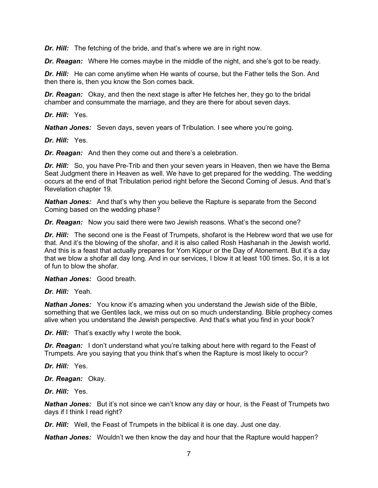*Dr. Hill:* The fetching of the bride, and that's where we are in right now.

*Dr. Reagan:* Where He comes maybe in the middle of the night, and she's got to be ready.

*Dr. Hill:* He can come anytime when He wants of course, but the Father tells the Son. And then there is, then you know the Son comes back.

*Dr. Reagan:* Okay, and then the next stage is after He fetches her, they go to the bridal chamber and consummate the marriage, and they are there for about seven days.

*Dr. Hill:* Yes.

*Nathan Jones:* Seven days, seven years of Tribulation. I see where you're going.

*Dr. Hill:* Yes.

*Dr. Reagan:* And then they come out and there's a celebration.

*Dr. Hill:* So, you have Pre-Trib and then your seven years in Heaven, then we have the Bema Seat Judgment there in Heaven as well. We have to get prepared for the wedding. The wedding occurs at the end of that Tribulation period right before the Second Coming of Jesus. And that's Revelation chapter 19.

*Nathan Jones:* And that's why then you believe the Rapture is separate from the Second Coming based on the wedding phase?

*Dr. Reagan:* Now you said there were two Jewish reasons. What's the second one?

*Dr. Hill:* The second one is the Feast of Trumpets, shofarot is the Hebrew word that we use for that. And it's the blowing of the shofar, and it is also called Rosh Hashanah in the Jewish world. And this is a feast that actually prepares for Yom Kippur or the Day of Atonement. But it's a day that we blow a shofar all day long. And in our services, I blow it at least 100 times. So, it is a lot of fun to blow the shofar.

*Nathan Jones:* Good breath.

*Dr. Hill:* Yeah.

*Nathan Jones:* You know it's amazing when you understand the Jewish side of the Bible, something that we Gentiles lack, we miss out on so much understanding. Bible prophecy comes alive when you understand the Jewish perspective. And that's what you find in your book?

*Dr. Hill:* That's exactly why I wrote the book.

**Dr. Reagan:** I don't understand what you're talking about here with regard to the Feast of Trumpets. Are you saying that you think that's when the Rapture is most likely to occur?

*Dr. Hill:* Yes.

*Dr. Reagan:* Okay.

*Dr. Hill:* Yes.

*Nathan Jones:* But it's not since we can't know any day or hour, is the Feast of Trumpets two days if I think I read right?

*Dr. Hill:* Well, the Feast of Trumpets in the biblical it is one day. Just one day.

*Nathan Jones:* Wouldn't we then know the day and hour that the Rapture would happen?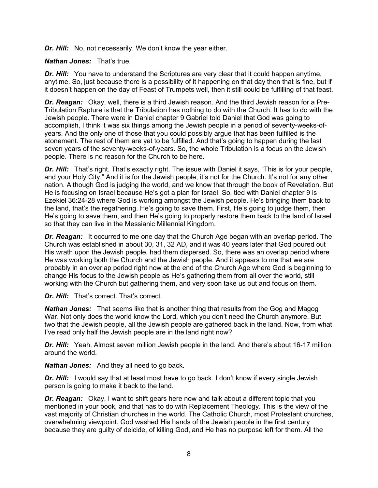*Dr. Hill:* No, not necessarily. We don't know the year either.

*Nathan Jones:* That's true.

*Dr. Hill:* You have to understand the Scriptures are very clear that it could happen anytime, anytime. So, just because there is a possibility of it happening on that day then that is fine, but if it doesn't happen on the day of Feast of Trumpets well, then it still could be fulfilling of that feast.

*Dr. Reagan:* Okay, well, there is a third Jewish reason. And the third Jewish reason for a Pre-Tribulation Rapture is that the Tribulation has nothing to do with the Church. It has to do with the Jewish people. There were in Daniel chapter 9 Gabriel told Daniel that God was going to accomplish, I think it was six things among the Jewish people in a period of seventy-weeks-ofyears. And the only one of those that you could possibly argue that has been fulfilled is the atonement. The rest of them are yet to be fulfilled. And that's going to happen during the last seven years of the seventy-weeks-of-years. So, the whole Tribulation is a focus on the Jewish people. There is no reason for the Church to be here.

**Dr. Hill:** That's right. That's exactly right. The issue with Daniel it says, "This is for your people, and your Holy City." And it is for the Jewish people, it's not for the Church. It's not for any other nation. Although God is judging the world, and we know that through the book of Revelation. But He is focusing on Israel because He's got a plan for Israel. So, tied with Daniel chapter 9 is Ezekiel 36:24-28 where God is working amongst the Jewish people. He's bringing them back to the land, that's the regathering. He's going to save them. First, He's going to judge them, then He's going to save them, and then He's going to properly restore them back to the land of Israel so that they can live in the Messianic Millennial Kingdom.

**Dr. Reagan:** It occurred to me one day that the Church Age began with an overlap period. The Church was established in about 30, 31, 32 AD, and it was 40 years later that God poured out His wrath upon the Jewish people, had them dispersed. So, there was an overlap period where He was working both the Church and the Jewish people. And it appears to me that we are probably in an overlap period right now at the end of the Church Age where God is beginning to change His focus to the Jewish people as He's gathering them from all over the world, still working with the Church but gathering them, and very soon take us out and focus on them.

*Dr. Hill:* That's correct. That's correct.

*Nathan Jones:* That seems like that is another thing that results from the Gog and Magog War. Not only does the world know the Lord, which you don't need the Church anymore. But two that the Jewish people, all the Jewish people are gathered back in the land. Now, from what I've read only half the Jewish people are in the land right now?

*Dr. Hill:* Yeah. Almost seven million Jewish people in the land. And there's about 16-17 million around the world.

*Nathan Jones:* And they all need to go back.

*Dr. Hill:* I would say that at least most have to go back. I don't know if every single Jewish person is going to make it back to the land.

*Dr. Reagan:* Okay, I want to shift gears here now and talk about a different topic that you mentioned in your book, and that has to do with Replacement Theology. This is the view of the vast majority of Christian churches in the world. The Catholic Church, most Protestant churches, overwhelming viewpoint. God washed His hands of the Jewish people in the first century because they are guilty of deicide, of killing God, and He has no purpose left for them. All the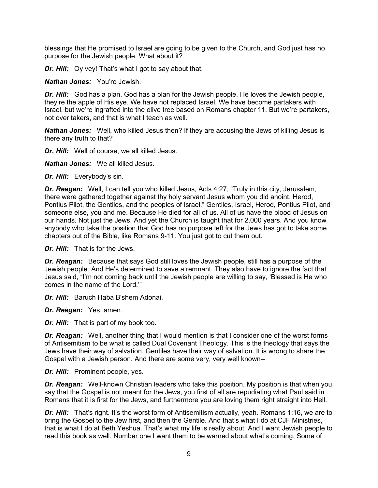blessings that He promised to Israel are going to be given to the Church, and God just has no purpose for the Jewish people. What about it?

*Dr. Hill:* Oy vey! That's what I got to say about that.

*Nathan Jones:* You're Jewish.

*Dr. Hill:* God has a plan. God has a plan for the Jewish people. He loves the Jewish people, they're the apple of His eye. We have not replaced Israel. We have become partakers with Israel, but we're ingrafted into the olive tree based on Romans chapter 11. But we're partakers, not over takers, and that is what I teach as well.

*Nathan Jones:* Well, who killed Jesus then? If they are accusing the Jews of killing Jesus is there any truth to that?

*Dr. Hill:* Well of course, we all killed Jesus.

*Nathan Jones:* We all killed Jesus.

*Dr. Hill:* Everybody's sin.

*Dr. Reagan:* Well, I can tell you who killed Jesus, Acts 4:27, "Truly in this city, Jerusalem, there were gathered together against thy holy servant Jesus whom you did anoint, Herod, Pontius Pilot, the Gentiles, and the peoples of Israel." Gentiles, Israel, Herod, Pontius Pilot, and someone else, you and me. Because He died for all of us. All of us have the blood of Jesus on our hands. Not just the Jews. And yet the Church is taught that for 2,000 years. And you know anybody who take the position that God has no purpose left for the Jews has got to take some chapters out of the Bible, like Romans 9-11. You just got to cut them out.

*Dr. Hill:* That is for the Jews.

*Dr. Reagan:* Because that says God still loves the Jewish people, still has a purpose of the Jewish people. And He's determined to save a remnant. They also have to ignore the fact that Jesus said, "I'm not coming back until the Jewish people are willing to say, 'Blessed is He who comes in the name of the Lord.'"

*Dr. Hill:* Baruch Haba B'shem Adonai.

*Dr. Reagan:* Yes, amen.

*Dr. Hill:* That is part of my book too.

**Dr. Reagan:** Well, another thing that I would mention is that I consider one of the worst forms of Antisemitism to be what is called Dual Covenant Theology. This is the theology that says the Jews have their way of salvation. Gentiles have their way of salvation. It is wrong to share the Gospel with a Jewish person. And there are some very, very well known--

*Dr. Hill:* Prominent people, yes.

*Dr. Reagan:* Well-known Christian leaders who take this position. My position is that when you say that the Gospel is not meant for the Jews, you first of all are repudiating what Paul said in Romans that it is first for the Jews, and furthermore you are loving them right straight into Hell.

*Dr. Hill:* That's right. It's the worst form of Antisemitism actually, yeah. Romans 1:16, we are to bring the Gospel to the Jew first, and then the Gentile. And that's what I do at CJF Ministries, that is what I do at Beth Yeshua. That's what my life is really about. And I want Jewish people to read this book as well. Number one I want them to be warned about what's coming. Some of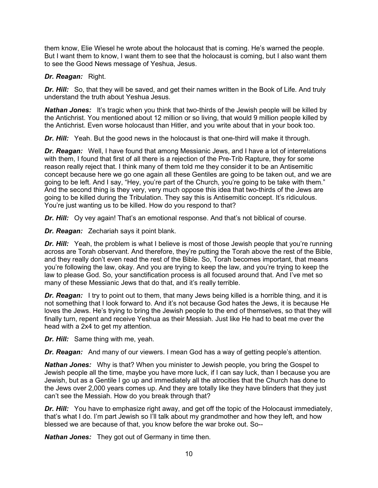them know, Elie Wiesel he wrote about the holocaust that is coming. He's warned the people. But I want them to know, I want them to see that the holocaust is coming, but I also want them to see the Good News message of Yeshua, Jesus.

#### *Dr. Reagan:* Right.

*Dr. Hill:* So, that they will be saved, and get their names written in the Book of Life. And truly understand the truth about Yeshua Jesus.

**Nathan Jones:** It's tragic when you think that two-thirds of the Jewish people will be killed by the Antichrist. You mentioned about 12 million or so living, that would 9 million people killed by the Antichrist. Even worse holocaust than Hitler, and you write about that in your book too.

*Dr. Hill:* Yeah. But the good news in the holocaust is that one-third will make it through.

*Dr. Reagan:* Well, I have found that among Messianic Jews, and I have a lot of interrelations with them, I found that first of all there is a rejection of the Pre-Trib Rapture, they for some reason really reject that. I think many of them told me they consider it to be an Antisemitic concept because here we go one again all these Gentiles are going to be taken out, and we are going to be left. And I say, "Hey, you're part of the Church, you're going to be take with them." And the second thing is they very, very much oppose this idea that two-thirds of the Jews are going to be killed during the Tribulation. They say this is Antisemitic concept. It's ridiculous. You're just wanting us to be killed. How do you respond to that?

*Dr. Hill:* Oy vey again! That's an emotional response. And that's not biblical of course.

*Dr. Reagan:* Zechariah says it point blank.

**Dr. Hill:** Yeah, the problem is what I believe is most of those Jewish people that you're running across are Torah observant. And therefore, they're putting the Torah above the rest of the Bible, and they really don't even read the rest of the Bible. So, Torah becomes important, that means you're following the law, okay. And you are trying to keep the law, and you're trying to keep the law to please God. So, your sanctification process is all focused around that. And I've met so many of these Messianic Jews that do that, and it's really terrible.

*Dr. Reagan:* I try to point out to them, that many Jews being killed is a horrible thing, and it is not something that I look forward to. And it's not because God hates the Jews, it is because He loves the Jews. He's trying to bring the Jewish people to the end of themselves, so that they will finally turn, repent and receive Yeshua as their Messiah. Just like He had to beat me over the head with a 2x4 to get my attention.

*Dr. Hill:* Same thing with me, yeah.

*Dr. Reagan:* And many of our viewers. I mean God has a way of getting people's attention.

*Nathan Jones:* Why is that? When you minister to Jewish people, you bring the Gospel to Jewish people all the time, maybe you have more luck, if I can say luck, than I because you are Jewish, but as a Gentile I go up and immediately all the atrocities that the Church has done to the Jews over 2,000 years comes up. And they are totally like they have blinders that they just can't see the Messiah. How do you break through that?

*Dr. Hill:* You have to emphasize right away, and get off the topic of the Holocaust immediately, that's what I do. I'm part Jewish so I'll talk about my grandmother and how they left, and how blessed we are because of that, you know before the war broke out. So--

*Nathan Jones:* They got out of Germany in time then.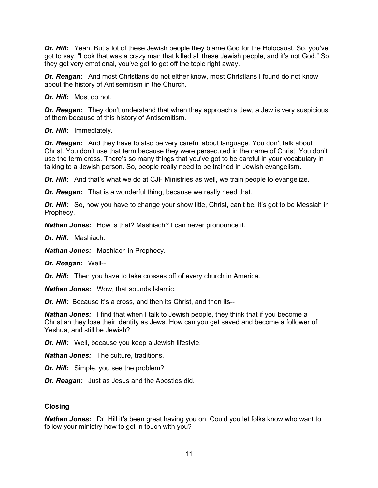*Dr. Hill:* Yeah. But a lot of these Jewish people they blame God for the Holocaust. So, you've got to say, "Look that was a crazy man that killed all these Jewish people, and it's not God." So, they get very emotional, you've got to get off the topic right away.

*Dr. Reagan:* And most Christians do not either know, most Christians I found do not know about the history of Antisemitism in the Church.

*Dr. Hill:* Most do not.

*Dr. Reagan:* They don't understand that when they approach a Jew, a Jew is very suspicious of them because of this history of Antisemitism.

*Dr. Hill:* Immediately.

*Dr. Reagan:* And they have to also be very careful about language. You don't talk about Christ. You don't use that term because they were persecuted in the name of Christ. You don't use the term cross. There's so many things that you've got to be careful in your vocabulary in talking to a Jewish person. So, people really need to be trained in Jewish evangelism.

*Dr. Hill:* And that's what we do at CJF Ministries as well, we train people to evangelize.

*Dr. Reagan:* That is a wonderful thing, because we really need that.

*Dr. Hill:* So, now you have to change your show title, Christ, can't be, it's got to be Messiah in Prophecy.

*Nathan Jones:* How is that? Mashiach? I can never pronounce it.

*Dr. Hill:* Mashiach.

*Nathan Jones:* Mashiach in Prophecy.

*Dr. Reagan:* Well--

*Dr. Hill:* Then you have to take crosses off of every church in America.

*Nathan Jones:* Wow, that sounds Islamic.

*Dr. Hill:* Because it's a cross, and then its Christ, and then its--

*Nathan Jones:* I find that when I talk to Jewish people, they think that if you become a Christian they lose their identity as Jews. How can you get saved and become a follower of Yeshua, and still be Jewish?

*Dr. Hill:* Well, because you keep a Jewish lifestyle.

*Nathan Jones:* The culture, traditions.

*Dr. Hill:* Simple, you see the problem?

*Dr. Reagan:* Just as Jesus and the Apostles did.

## **Closing**

**Nathan Jones:** Dr. Hill it's been great having you on. Could you let folks know who want to follow your ministry how to get in touch with you?